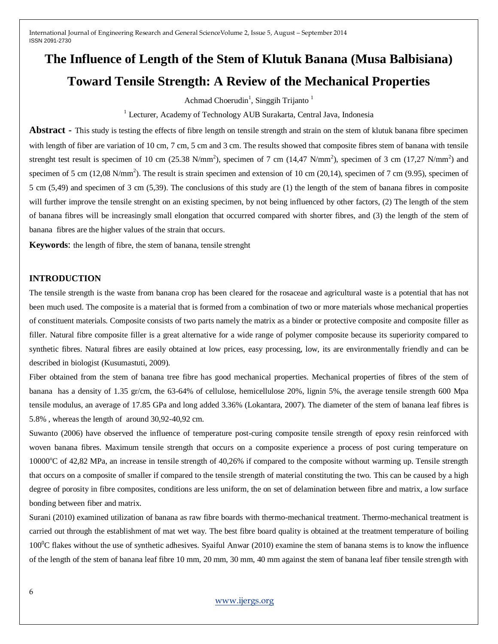# **The Influence of Length of the Stem of Klutuk Banana (Musa Balbisiana) Toward Tensile Strength: A Review of the Mechanical Properties**

Achmad Choerudin<sup>1</sup>, Singgih Trijanto<sup>1</sup>

 $1$  Lecturer, Academy of Technology AUB Surakarta, Central Java, Indonesia

**Abstract** - This study is testing the effects of fibre length on tensile strength and strain on the stem of klutuk banana fibre specimen with length of fiber are variation of 10 cm, 7 cm, 5 cm and 3 cm. The results showed that composite fibres stem of banana with tensile strenght test result is specimen of 10 cm (25.38 N/mm<sup>2</sup>), specimen of 7 cm (14,47 N/mm<sup>2</sup>), specimen of 3 cm (17,27 N/mm<sup>2</sup>) and specimen of 5 cm  $(12,08 \text{ N/mm}^2)$ . The result is strain specimen and extension of 10 cm  $(20,14)$ , specimen of 7 cm  $(9.95)$ , specimen of 5 cm (5,49) and specimen of 3 cm (5,39). The conclusions of this study are (1) the length of the stem of banana fibres in composite will further improve the tensile strenght on an existing specimen, by not being influenced by other factors, (2) The length of the stem of banana fibres will be increasingly small elongation that occurred compared with shorter fibres, and (3) the length of the stem of banana fibres are the higher values of the strain that occurs.

**Keywords**: the length of fibre, the stem of banana, tensile strenght

# **INTRODUCTION**

The tensile strength is the waste from banana crop has been cleared for the rosaceae and agricultural waste is a potential that has not been much used. The composite is a material that is formed from a combination of two or more materials whose mechanical properties of constituent materials. Composite consists of two parts namely the matrix as a binder or protective composite and composite filler as filler. Natural fibre composite filler is a great alternative for a wide range of polymer composite because its superiority compared to synthetic fibres. Natural fibres are easily obtained at low prices, easy processing, low, its are environmentally friendly and can be described in biologist (Kusumastuti, 2009).

Fiber obtained from the stem of banana tree fibre has good mechanical properties. Mechanical properties of fibres of the stem of banana has a density of 1.35 gr/cm, the 63-64% of cellulose, hemicellulose 20%, lignin 5%, the average tensile strength 600 Mpa tensile modulus, an average of 17.85 GPa and long added 3.36% (Lokantara, 2007). The diameter of the stem of banana leaf fibres is 5.8% , whereas the length of around 30,92-40,92 cm.

Suwanto (2006) have observed the influence of temperature post-curing composite tensile strength of epoxy resin reinforced with woven banana fibres. Maximum tensile strength that occurs on a composite experience a process of post curing temperature on  $10000^{\circ}$ C of 42,82 MPa, an increase in tensile strength of 40,26% if compared to the composite without warming up. Tensile strength that occurs on a composite of smaller if compared to the tensile strength of material constituting the two. This can be caused by a high degree of porosity in fibre composites, conditions are less uniform, the on set of delamination between fibre and matrix, a low surface bonding between fiber and matrix.

Surani (2010) examined utilization of banana as raw fibre boards with thermo-mechanical treatment. Thermo-mechanical treatment is carried out through the establishment of mat wet way. The best fibre board quality is obtained at the treatment temperature of boiling  $100^0C$  flakes without the use of synthetic adhesives. Syaiful Anwar (2010) examine the stem of banana stems is to know the influence of the length of the stem of banana leaf fibre 10 mm, 20 mm, 30 mm, 40 mm against the stem of banana leaf fiber tensile strength with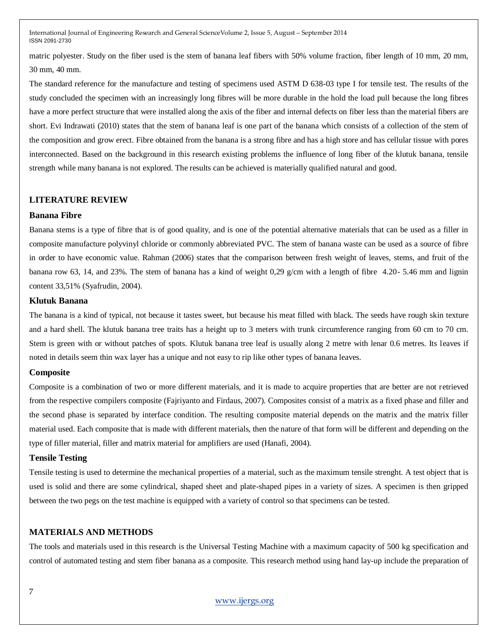matric polyester. Study on the fiber used is the stem of banana leaf fibers with 50% volume fraction, fiber length of 10 mm, 20 mm, 30 mm, 40 mm.

The standard reference for the manufacture and testing of specimens used ASTM D 638-03 type I for tensile test. The results of the study concluded the specimen with an increasingly long fibres will be more durable in the hold the load pull because the long fibres have a more perfect structure that were installed along the axis of the fiber and internal defects on fiber less than the material fibers are short. Evi Indrawati (2010) states that the stem of banana leaf is one part of the banana which consists of a collection of the stem of the composition and grow erect. Fibre obtained from the banana is a strong fibre and has a high store and has cellular tissue with pores interconnected. Based on the background in this research existing problems the influence of long fiber of the klutuk banana, tensile strength while many banana is not explored. The results can be achieved is materially qualified natural and good.

#### **LITERATURE REVIEW**

# **Banana Fibre**

Banana stems is a type of fibre that is of good quality, and is one of the potential alternative materials that can be used as a filler in composite manufacture polyvinyl chloride or commonly abbreviated PVC. The stem of banana waste can be used as a source of fibre in order to have economic value. Rahman (2006) states that the comparison between fresh weight of leaves, stems, and fruit of the banana row 63, 14, and 23%. The stem of banana has a kind of weight 0,29 g/cm with a length of fibre 4.20- 5.46 mm and lignin content 33,51% (Syafrudin, 2004).

#### **Klutuk Banana**

The banana is a kind of typical, not because it tastes sweet, but because his meat filled with black. The seeds have rough skin texture and a hard shell. The klutuk banana tree traits has a height up to 3 meters with trunk circumference ranging from 60 cm to 70 cm. Stem is green with or without patches of spots. Klutuk banana tree leaf is usually along 2 metre with lenar 0.6 metres. Its leaves if noted in details seem thin wax layer has a unique and not easy to rip like other types of banana leaves.

#### **Composite**

Composite is a combination of two or more different materials, and it is made to acquire properties that are better are not retrieved from the respective compilers composite (Fajriyanto and Firdaus, 2007). Composites consist of a matrix as a fixed phase and filler and the second phase is separated by interface condition. The resulting composite material depends on the matrix and the matrix filler material used. Each composite that is made with different materials, then the nature of that form will be different and depending on the type of filler material, filler and matrix material for amplifiers are used (Hanafi, 2004).

#### **Tensile Testing**

Tensile testing is used to determine the mechanical properties of a material, such as the maximum tensile strenght. A test object that is used is solid and there are some cylindrical, shaped sheet and plate-shaped pipes in a variety of sizes. A specimen is then gripped between the two pegs on the test machine is equipped with a variety of control so that specimens can be tested.

## **MATERIALS AND METHODS**

The tools and materials used in this research is the Universal Testing Machine with a maximum capacity of 500 kg specification and control of automated testing and stem fiber banana as a composite. This research method using hand lay-up include the preparation of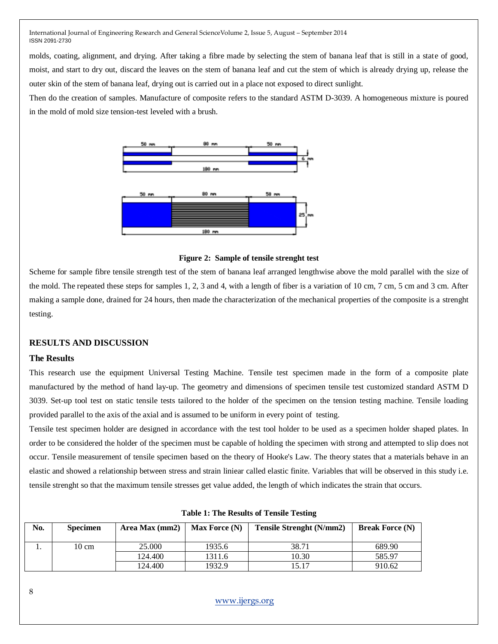molds, coating, alignment, and drying. After taking a fibre made by selecting the stem of banana leaf that is still in a state of good, moist, and start to dry out, discard the leaves on the stem of banana leaf and cut the stem of which is already drying up, release the outer skin of the stem of banana leaf, drying out is carried out in a place not exposed to direct sunlight.

Then do the creation of samples. Manufacture of composite refers to the standard ASTM D-3039. A homogeneous mixture is poured in the mold of mold size tension-test leveled with a brush.





Scheme for sample fibre tensile strength test of the stem of banana leaf arranged lengthwise above the mold parallel with the size of the mold. The repeated these steps for samples 1, 2, 3 and 4, with a length of fiber is a variation of 10 cm, 7 cm, 5 cm and 3 cm. After making a sample done, drained for 24 hours, then made the characterization of the mechanical properties of the composite is a strenght testing.

# **RESULTS AND DISCUSSION**

#### **The Results**

This research use the equipment Universal Testing Machine. Tensile test specimen made in the form of a composite plate manufactured by the method of hand lay-up. The geometry and dimensions of specimen tensile test customized standard ASTM D 3039. Set-up tool test on static tensile tests tailored to the holder of the specimen on the tension testing machine. Tensile loading provided parallel to the axis of the axial and is assumed to be uniform in every point of testing.

Tensile test specimen holder are designed in accordance with the test tool holder to be used as a specimen holder shaped plates. In order to be considered the holder of the specimen must be capable of holding the specimen with strong and attempted to slip does not occur. Tensile measurement of tensile specimen based on the theory of Hooke's Law. The theory states that a materials behave in an elastic and showed a relationship between stress and strain liniear called elastic finite. Variables that will be observed in this study i.e. tensile strenght so that the maximum tensile stresses get value added, the length of which indicates the strain that occurs.

| No. | <b>Specimen</b> | Area Max $(mm2)$ | <b>Max Force (N)</b> | Tensile Strenght (N/mm2) | <b>Break Force (N)</b> |
|-----|-----------------|------------------|----------------------|--------------------------|------------------------|
| ı.  | 10 cm           | 25.000           | 1935.6               | 38.71                    | 689.90                 |
|     |                 | 124.400          | 1311.6               | 10.30                    | 585.97                 |
|     |                 | 124.400          | 1932.9               | 15.17                    | 910.62                 |

|  | <b>Table 1: The Results of Tensile Testing</b> |  |  |
|--|------------------------------------------------|--|--|
|  |                                                |  |  |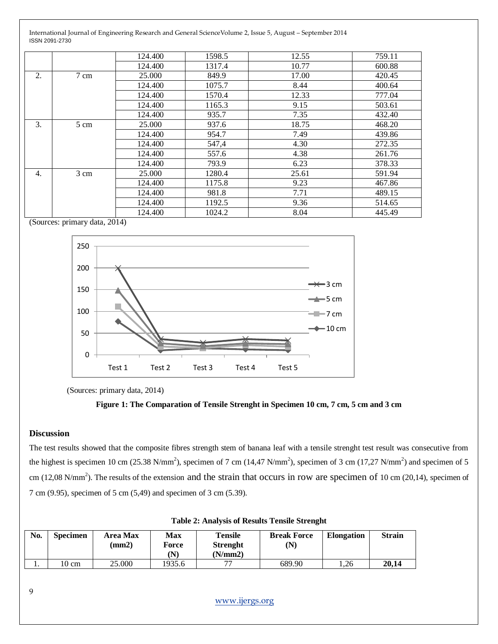|                  |                | 124.400 | 1598.5 | 12.55 | 759.11 |
|------------------|----------------|---------|--------|-------|--------|
|                  |                |         |        |       |        |
|                  |                | 124.400 | 1317.4 | 10.77 | 600.88 |
| 2.               | 7 cm           | 25,000  | 849.9  | 17.00 | 420.45 |
|                  |                | 124.400 | 1075.7 | 8.44  | 400.64 |
|                  |                | 124.400 | 1570.4 | 12.33 | 777.04 |
|                  |                | 124.400 | 1165.3 | 9.15  | 503.61 |
|                  |                | 124.400 | 935.7  | 7.35  | 432.40 |
| 3.               | $5 \text{ cm}$ | 25,000  | 937.6  | 18.75 | 468.20 |
|                  |                | 124.400 | 954.7  | 7.49  | 439.86 |
|                  |                | 124.400 | 547,4  | 4.30  | 272.35 |
|                  |                | 124.400 | 557.6  | 4.38  | 261.76 |
|                  |                | 124.400 | 793.9  | 6.23  | 378.33 |
| $\overline{4}$ . | $3 \text{ cm}$ | 25.000  | 1280.4 | 25.61 | 591.94 |
|                  |                | 124.400 | 1175.8 | 9.23  | 467.86 |
|                  |                | 124.400 | 981.8  | 7.71  | 489.15 |
|                  |                | 124.400 | 1192.5 | 9.36  | 514.65 |
|                  |                | 124.400 | 1024.2 | 8.04  | 445.49 |

(Sources: primary data, 2014)



(Sources: primary data, 2014)



# **Discussion**

The test results showed that the composite fibres strength stem of banana leaf with a tensile strenght test result was consecutive from the highest is specimen 10 cm (25.38 N/mm<sup>2</sup>), specimen of 7 cm (14,47 N/mm<sup>2</sup>), specimen of 3 cm (17,27 N/mm<sup>2</sup>) and specimen of 5 cm (12,08 N/mm<sup>2</sup>). The results of the extension and the strain that occurs in row are specimen of 10 cm (20,14), specimen of 7 cm (9.95), specimen of 5 cm (5,49) and specimen of 3 cm (5.39).

| No. | Specimen | <b>Area Max</b><br>$\text{mm2}$ | Max<br>Force<br>$(\mathbf{N})$ | <b>Tensile</b><br><b>Strenght</b><br>(N/mm 2) | <b>Break Force</b><br>$({\bf N})$ | <b>Elongation</b> | <b>Strain</b> |
|-----|----------|---------------------------------|--------------------------------|-----------------------------------------------|-----------------------------------|-------------------|---------------|
| . . | 10 cm    | 25.000                          | 1935.6                         | $\overline{\phantom{a}}$                      | 689.90                            | 1.26              | 20,14         |

#### **Table 2: Analysis of Results Tensile Strenght**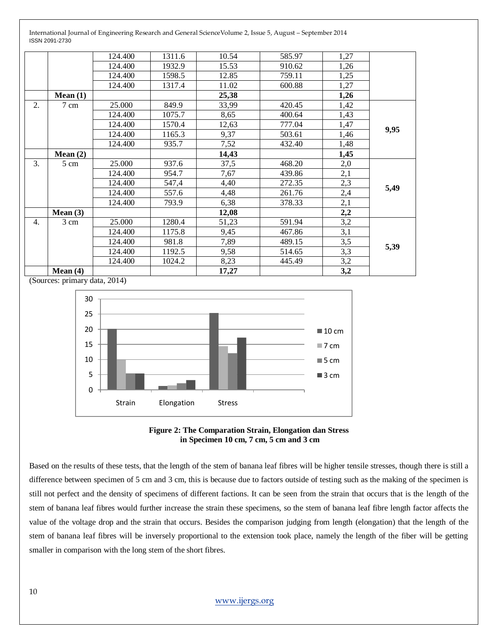|                  |                | 124.400 | 1311.6 | 10.54 | 585.97 | 1,27 |      |
|------------------|----------------|---------|--------|-------|--------|------|------|
|                  |                | 124.400 | 1932.9 | 15.53 | 910.62 | 1,26 |      |
|                  |                | 124.400 | 1598.5 | 12.85 | 759.11 | 1,25 |      |
|                  |                | 124.400 | 1317.4 | 11.02 | 600.88 | 1,27 |      |
|                  | Mean(1)        |         |        | 25,38 |        | 1,26 |      |
| $\overline{2}$ . | 7 cm           | 25.000  | 849.9  | 33,99 | 420.45 | 1,42 |      |
|                  |                | 124.400 | 1075.7 | 8,65  | 400.64 | 1,43 |      |
|                  |                | 124.400 | 1570.4 | 12,63 | 777.04 | 1,47 |      |
|                  |                | 124.400 | 1165.3 | 9,37  | 503.61 | 1,46 | 9,95 |
|                  |                | 124.400 | 935.7  | 7,52  | 432.40 | 1,48 |      |
|                  | Mean(2)        |         |        | 14,43 |        | 1,45 |      |
| 3.               | $5 \text{ cm}$ | 25.000  | 937.6  | 37,5  | 468.20 | 2,0  |      |
|                  |                | 124.400 | 954.7  | 7,67  | 439.86 | 2,1  |      |
|                  |                | 124.400 | 547,4  | 4,40  | 272.35 | 2,3  |      |
|                  |                | 124.400 | 557.6  | 4,48  | 261.76 | 2,4  | 5,49 |
|                  |                | 124.400 | 793.9  | 6,38  | 378.33 | 2,1  |      |
|                  | Mean $(3)$     |         |        | 12,08 |        | 2,2  |      |
| $\overline{4}$ . | $3 \text{ cm}$ | 25.000  | 1280.4 | 51,23 | 591.94 | 3,2  |      |
|                  |                | 124.400 | 1175.8 | 9,45  | 467.86 | 3,1  |      |
|                  |                | 124.400 | 981.8  | 7,89  | 489.15 | 3,5  |      |
|                  |                | 124.400 | 1192.5 | 9,58  | 514.65 | 3,3  | 5,39 |
|                  |                | 124.400 | 1024.2 | 8,23  | 445.49 | 3,2  |      |
|                  | Mean $(4)$     |         |        | 17,27 |        | 3,2  |      |

(Sources: primary data, 2014)





Based on the results of these tests, that the length of the stem of banana leaf fibres will be higher tensile stresses, though there is still a difference between specimen of 5 cm and 3 cm, this is because due to factors outside of testing such as the making of the specimen is still not perfect and the density of specimens of different factions. It can be seen from the strain that occurs that is the length of the stem of banana leaf fibres would further increase the strain these specimens, so the stem of banana leaf fibre length factor affects the value of the voltage drop and the strain that occurs. Besides the comparison judging from length (elongation) that the length of the stem of banana leaf fibres will be inversely proportional to the extension took place, namely the length of the fiber will be getting smaller in comparison with the long stem of the short fibres.